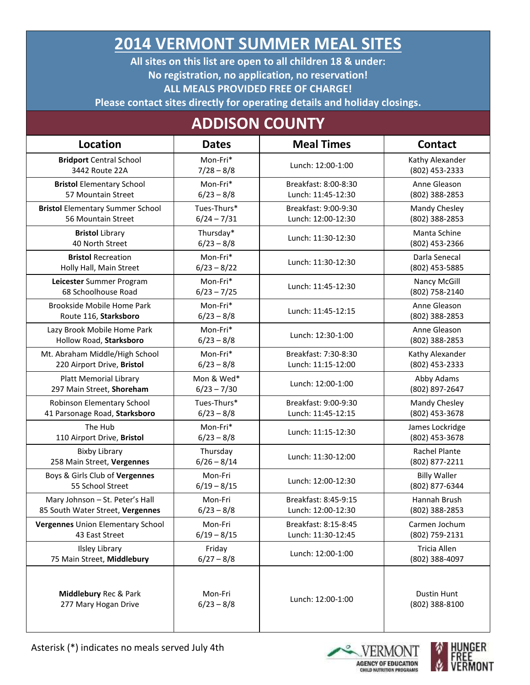## **2014 VERMONT SUMMER MEAL SITES**

**All sites on this list are open to all children 18 & under: No registration, no application, no reservation! ALL MEALS PROVIDED FREE OF CHARGE!**

**Please contact sites directly for operating details and holiday closings.**

## **ADDISON COUNTY**

| <b>Location</b>                          | <b>Dates</b>  | <b>Meal Times</b>    | <b>Contact</b>       |
|------------------------------------------|---------------|----------------------|----------------------|
| <b>Bridport Central School</b>           | Mon-Fri*      | Lunch: 12:00-1:00    | Kathy Alexander      |
| 3442 Route 22A                           | $7/28 - 8/8$  |                      | (802) 453-2333       |
| <b>Bristol Elementary School</b>         | Mon-Fri*      | Breakfast: 8:00-8:30 | Anne Gleason         |
| 57 Mountain Street                       | $6/23 - 8/8$  | Lunch: 11:45-12:30   | (802) 388-2853       |
| <b>Bristol Elementary Summer School</b>  | Tues-Thurs*   | Breakfast: 9:00-9:30 | Mandy Chesley        |
| 56 Mountain Street                       | $6/24 - 7/31$ | Lunch: 12:00-12:30   | (802) 388-2853       |
| <b>Bristol Library</b>                   | Thursday*     | Lunch: 11:30-12:30   | Manta Schine         |
| 40 North Street                          | $6/23 - 8/8$  |                      | (802) 453-2366       |
| <b>Bristol Recreation</b>                | Mon-Fri*      | Lunch: 11:30-12:30   | Darla Senecal        |
| Holly Hall, Main Street                  | $6/23 - 8/22$ |                      | (802) 453-5885       |
| Leicester Summer Program                 | Mon-Fri*      | Lunch: 11:45-12:30   | Nancy McGill         |
| 68 Schoolhouse Road                      | $6/23 - 7/25$ |                      | (802) 758-2140       |
| Brookside Mobile Home Park               | Mon-Fri*      | Lunch: 11:45-12:15   | Anne Gleason         |
| Route 116, Starksboro                    | $6/23 - 8/8$  |                      | (802) 388-2853       |
| Lazy Brook Mobile Home Park              | Mon-Fri*      | Lunch: 12:30-1:00    | Anne Gleason         |
| Hollow Road, Starksboro                  | $6/23 - 8/8$  |                      | (802) 388-2853       |
| Mt. Abraham Middle/High School           | Mon-Fri*      | Breakfast: 7:30-8:30 | Kathy Alexander      |
| 220 Airport Drive, Bristol               | $6/23 - 8/8$  | Lunch: 11:15-12:00   | (802) 453-2333       |
| <b>Platt Memorial Library</b>            | Mon & Wed*    | Lunch: 12:00-1:00    | Abby Adams           |
| 297 Main Street, Shoreham                | $6/23 - 7/30$ |                      | (802) 897-2647       |
| Robinson Elementary School               | Tues-Thurs*   | Breakfast: 9:00-9:30 | Mandy Chesley        |
| 41 Parsonage Road, Starksboro            | $6/23 - 8/8$  | Lunch: 11:45-12:15   | (802) 453-3678       |
| The Hub                                  | Mon-Fri*      | Lunch: 11:15-12:30   | James Lockridge      |
| 110 Airport Drive, Bristol               | $6/23 - 8/8$  |                      | (802) 453-3678       |
| <b>Bixby Library</b>                     | Thursday      | Lunch: 11:30-12:00   | <b>Rachel Plante</b> |
| 258 Main Street, Vergennes               | $6/26 - 8/14$ |                      | (802) 877-2211       |
| Boys & Girls Club of Vergennes           | Mon-Fri       | Lunch: 12:00-12:30   | <b>Billy Waller</b>  |
| 55 School Street                         | $6/19 - 8/15$ |                      | (802) 877-6344       |
| Mary Johnson - St. Peter's Hall          | Mon-Fri       | Breakfast: 8:45-9:15 | Hannah Brush         |
| 85 South Water Street, Vergennes         | $6/23 - 8/8$  | Lunch: 12:00-12:30   | (802) 388-2853       |
| <b>Vergennes Union Elementary School</b> | Mon-Fri       | Breakfast: 8:15-8:45 | Carmen Jochum        |
| 43 East Street                           | $6/19 - 8/15$ | Lunch: 11:30-12:45   | (802) 759-2131       |
| <b>Ilsley Library</b>                    | Friday        | Lunch: 12:00-1:00    | Tricia Allen         |
| 75 Main Street, Middlebury               | $6/27 - 8/8$  |                      | (802) 388-4097       |
| Middlebury Rec & Park                    | Mon-Fri       | Lunch: 12:00-1:00    | Dustin Hunt          |
| 277 Mary Hogan Drive                     | $6/23 - 8/8$  |                      | (802) 388-8100       |



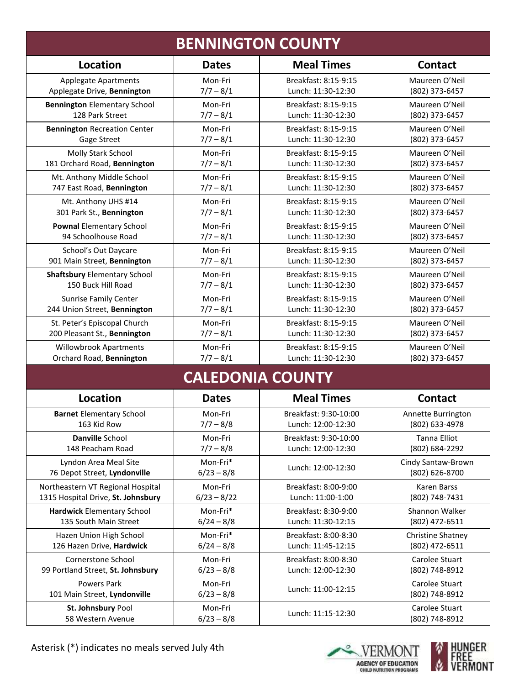|                                     |               | <b>BENNINGTON COUNTY</b> |                          |
|-------------------------------------|---------------|--------------------------|--------------------------|
| <b>Location</b>                     | <b>Dates</b>  | <b>Meal Times</b>        | <b>Contact</b>           |
| <b>Applegate Apartments</b>         | Mon-Fri       | Breakfast: 8:15-9:15     | Maureen O'Neil           |
| Applegate Drive, Bennington         | $7/7 - 8/1$   | Lunch: 11:30-12:30       | (802) 373-6457           |
| <b>Bennington Elementary School</b> | Mon-Fri       | Breakfast: 8:15-9:15     | Maureen O'Neil           |
| 128 Park Street                     | $7/7 - 8/1$   | Lunch: 11:30-12:30       | (802) 373-6457           |
| <b>Bennington Recreation Center</b> | Mon-Fri       | Breakfast: 8:15-9:15     | Maureen O'Neil           |
| Gage Street                         | $7/7 - 8/1$   | Lunch: 11:30-12:30       | (802) 373-6457           |
| Molly Stark School                  | Mon-Fri       | Breakfast: 8:15-9:15     | Maureen O'Neil           |
| 181 Orchard Road, Bennington        | $7/7 - 8/1$   | Lunch: 11:30-12:30       | (802) 373-6457           |
| Mt. Anthony Middle School           | Mon-Fri       | Breakfast: 8:15-9:15     | Maureen O'Neil           |
| 747 East Road, Bennington           | $7/7 - 8/1$   | Lunch: 11:30-12:30       | (802) 373-6457           |
| Mt. Anthony UHS #14                 | Mon-Fri       | Breakfast: 8:15-9:15     | Maureen O'Neil           |
| 301 Park St., Bennington            | $7/7 - 8/1$   | Lunch: 11:30-12:30       | (802) 373-6457           |
| <b>Pownal Elementary School</b>     | Mon-Fri       | Breakfast: 8:15-9:15     | Maureen O'Neil           |
| 94 Schoolhouse Road                 | $7/7 - 8/1$   | Lunch: 11:30-12:30       | (802) 373-6457           |
| School's Out Daycare                | Mon-Fri       | Breakfast: 8:15-9:15     | Maureen O'Neil           |
| 901 Main Street, Bennington         | $7/7 - 8/1$   | Lunch: 11:30-12:30       | (802) 373-6457           |
| <b>Shaftsbury Elementary School</b> | Mon-Fri       | Breakfast: 8:15-9:15     | Maureen O'Neil           |
| 150 Buck Hill Road                  | $7/7 - 8/1$   | Lunch: 11:30-12:30       | (802) 373-6457           |
| <b>Sunrise Family Center</b>        | Mon-Fri       | Breakfast: 8:15-9:15     | Maureen O'Neil           |
| 244 Union Street, Bennington        | $7/7 - 8/1$   | Lunch: 11:30-12:30       | (802) 373-6457           |
| St. Peter's Episcopal Church        | Mon-Fri       | Breakfast: 8:15-9:15     | Maureen O'Neil           |
| 200 Pleasant St., Bennington        | $7/7 - 8/1$   | Lunch: 11:30-12:30       | (802) 373-6457           |
| <b>Willowbrook Apartments</b>       | Mon-Fri       | Breakfast: 8:15-9:15     | Maureen O'Neil           |
| Orchard Road, Bennington            | $7/7 - 8/1$   | Lunch: 11:30-12:30       | (802) 373-6457           |
|                                     |               | <b>CALEDONIA COUNTY</b>  |                          |
| <b>Location</b>                     | <b>Dates</b>  | <b>Meal Times</b>        | <b>Contact</b>           |
| <b>Barnet Elementary School</b>     | Mon-Fri       | Breakfast: 9:30-10:00    | Annette Burrington       |
| 163 Kid Row                         | $7/7 - 8/8$   | Lunch: 12:00-12:30       | (802) 633-4978           |
| Danville School                     | Mon-Fri       | Breakfast: 9:30-10:00    | Tanna Elliot             |
| 148 Peacham Road                    | $7/7 - 8/8$   | Lunch: 12:00-12:30       | (802) 684-2292           |
| Lyndon Area Meal Site               | Mon-Fri*      | Lunch: 12:00-12:30       | Cindy Santaw-Brown       |
| 76 Depot Street, Lyndonville        | $6/23 - 8/8$  |                          | (802) 626-8700           |
| Northeastern VT Regional Hospital   | Mon-Fri       | Breakfast: 8:00-9:00     | Karen Barss              |
| 1315 Hospital Drive, St. Johnsbury  | $6/23 - 8/22$ | Lunch: 11:00-1:00        | (802) 748-7431           |
| <b>Hardwick Elementary School</b>   | Mon-Fri*      | Breakfast: 8:30-9:00     | Shannon Walker           |
| 135 South Main Street               | $6/24 - 8/8$  | Lunch: 11:30-12:15       | (802) 472-6511           |
| Hazen Union High School             | Mon-Fri*      | Breakfast: 8:00-8:30     | <b>Christine Shatney</b> |
| 126 Hazen Drive, Hardwick           | $6/24 - 8/8$  | Lunch: 11:45-12:15       | (802) 472-6511           |
| Cornerstone School                  | Mon-Fri       | Breakfast: 8:00-8:30     | Carolee Stuart           |
| 99 Portland Street, St. Johnsbury   | $6/23 - 8/8$  | Lunch: 12:00-12:30       | (802) 748-8912           |
| Powers Park                         | Mon-Fri       | Lunch: 11:00-12:15       | Carolee Stuart           |
| 101 Main Street, Lyndonville        | $6/23 - 8/8$  |                          | (802) 748-8912           |
| St. Johnsbury Pool                  | Mon-Fri       | Lunch: 11:15-12:30       | Carolee Stuart           |
| 58 Western Avenue                   | $6/23 - 8/8$  |                          | (802) 748-8912           |



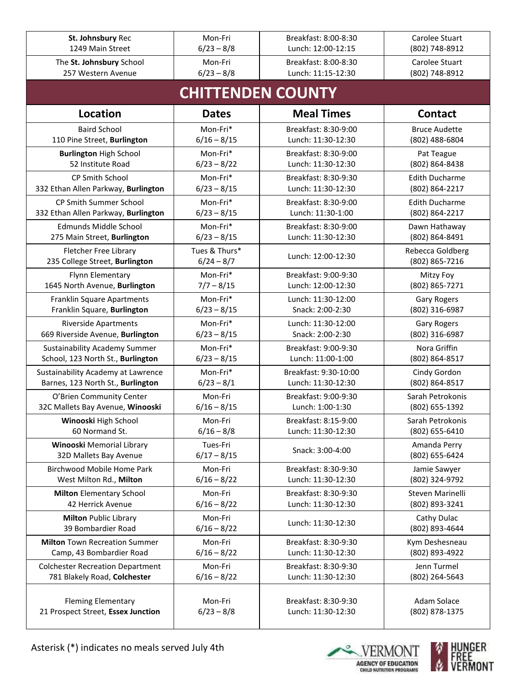| St. Johnsbury Rec                                                       | Mon-Fri                   | Breakfast: 8:00-8:30                       | Carolee Stuart                          |
|-------------------------------------------------------------------------|---------------------------|--------------------------------------------|-----------------------------------------|
| 1249 Main Street                                                        | $6/23 - 8/8$              | Lunch: 12:00-12:15                         | (802) 748-8912                          |
| The St. Johnsbury School<br>257 Western Avenue                          | Mon-Fri<br>$6/23 - 8/8$   | Breakfast: 8:00-8:30<br>Lunch: 11:15-12:30 | Carolee Stuart<br>(802) 748-8912        |
|                                                                         |                           | <b>CHITTENDEN COUNTY</b>                   |                                         |
| Location                                                                | <b>Dates</b>              | <b>Meal Times</b>                          | <b>Contact</b>                          |
| <b>Baird School</b>                                                     | Mon-Fri*                  | Breakfast: 8:30-9:00                       | <b>Bruce Audette</b>                    |
| 110 Pine Street, Burlington                                             | $6/16 - 8/15$             | Lunch: 11:30-12:30                         | (802) 488-6804                          |
| <b>Burlington High School</b>                                           | Mon-Fri*                  | Breakfast: 8:30-9:00                       | Pat Teague                              |
| 52 Institute Road                                                       | $6/23 - 8/22$             | Lunch: 11:30-12:30                         | (802) 864-8438                          |
| CP Smith School                                                         | Mon-Fri*                  | Breakfast: 8:30-9:30<br>Lunch: 11:30-12:30 | <b>Edith Ducharme</b>                   |
| 332 Ethan Allen Parkway, Burlington                                     | $6/23 - 8/15$             |                                            | (802) 864-2217                          |
| CP Smith Summer School<br>332 Ethan Allen Parkway, Burlington           | Mon-Fri*<br>$6/23 - 8/15$ | Breakfast: 8:30-9:00<br>Lunch: 11:30-1:00  | <b>Edith Ducharme</b><br>(802) 864-2217 |
| <b>Edmunds Middle School</b>                                            | Mon-Fri*                  | Breakfast: 8:30-9:00                       | Dawn Hathaway                           |
| 275 Main Street, Burlington                                             | $6/23 - 8/15$             | Lunch: 11:30-12:30                         | (802) 864-8491                          |
| Fletcher Free Library                                                   | Tues & Thurs*             | Lunch: 12:00-12:30                         | Rebecca Goldberg                        |
| 235 College Street, Burlington                                          | $6/24 - 8/7$              |                                            | (802) 865-7216                          |
| Flynn Elementary                                                        | Mon-Fri*                  | Breakfast: 9:00-9:30                       | Mitzy Foy                               |
| 1645 North Avenue, Burlington                                           | $7/7 - 8/15$              | Lunch: 12:00-12:30                         | (802) 865-7271                          |
| Franklin Square Apartments<br>Franklin Square, Burlington               | Mon-Fri*<br>$6/23 - 8/15$ | Lunch: 11:30-12:00<br>Snack: 2:00-2:30     | <b>Gary Rogers</b><br>(802) 316-6987    |
|                                                                         | Mon-Fri*                  |                                            |                                         |
| <b>Riverside Apartments</b><br>669 Riverside Avenue, Burlington         | $6/23 - 8/15$             | Lunch: 11:30-12:00<br>Snack: 2:00-2:30     | <b>Gary Rogers</b><br>(802) 316-6987    |
| <b>Sustainability Academy Summer</b>                                    | Mon-Fri*                  | Breakfast: 9:00-9:30                       | Nora Griffin                            |
| School, 123 North St., Burlington                                       | $6/23 - 8/15$             | Lunch: 11:00-1:00                          | (802) 864-8517                          |
| Sustainability Academy at Lawrence                                      | Mon-Fri*                  | Breakfast: 9:30-10:00                      | Cindy Gordon                            |
| Barnes, 123 North St., Burlington                                       | $6/23 - 8/1$              | Lunch: 11:30-12:30                         | (802) 864-8517                          |
| O'Brien Community Center                                                | Mon-Fri                   | Breakfast: 9:00-9:30                       | Sarah Petrokonis                        |
| 32C Mallets Bay Avenue, Winooski                                        | $6/16 - 8/15$             | Lunch: 1:00-1:30                           | (802) 655-1392                          |
| Winooski High School                                                    | Mon-Fri                   | Breakfast: 8:15-9:00                       | Sarah Petrokonis                        |
| 60 Normand St.                                                          | $6/16 - 8/8$              | Lunch: 11:30-12:30                         | (802) 655-6410                          |
| <b>Winooski Memorial Library</b><br>32D Mallets Bay Avenue              | Tues-Fri<br>$6/17 - 8/15$ | Snack: 3:00-4:00                           | Amanda Perry<br>(802) 655-6424          |
| <b>Birchwood Mobile Home Park</b>                                       | Mon-Fri                   | Breakfast: 8:30-9:30                       | Jamie Sawyer                            |
| West Milton Rd., Milton                                                 | $6/16 - 8/22$             | Lunch: 11:30-12:30                         | (802) 324-9792                          |
| <b>Milton</b> Elementary School<br>42 Herrick Avenue                    | Mon-Fri                   | Breakfast: 8:30-9:30<br>Lunch: 11:30-12:30 | Steven Marinelli                        |
|                                                                         | $6/16 - 8/22$             |                                            | (802) 893-3241                          |
| <b>Milton Public Library</b><br>39 Bombardier Road                      | Mon-Fri<br>$6/16 - 8/22$  | Lunch: 11:30-12:30                         | Cathy Dulac<br>(802) 893-4644           |
| <b>Milton Town Recreation Summer</b>                                    | Mon-Fri                   | Breakfast: 8:30-9:30                       | Kym Deshesneau                          |
| Camp, 43 Bombardier Road                                                | $6/16 - 8/22$             | Lunch: 11:30-12:30                         | (802) 893-4922                          |
| <b>Colchester Recreation Department</b><br>781 Blakely Road, Colchester | Mon-Fri<br>$6/16 - 8/22$  | Breakfast: 8:30-9:30<br>Lunch: 11:30-12:30 | Jenn Turmel<br>(802) 264-5643           |
| <b>Fleming Elementary</b><br>21 Prospect Street, Essex Junction         | Mon-Fri<br>$6/23 - 8/8$   | Breakfast: 8:30-9:30<br>Lunch: 11:30-12:30 | Adam Solace<br>(802) 878-1375           |



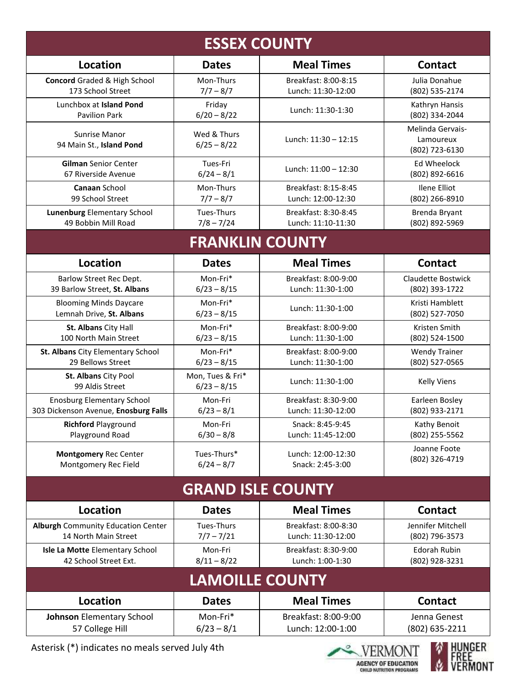|                                                  | <b>ESSEX COUNTY</b>               |                      |                                                 |
|--------------------------------------------------|-----------------------------------|----------------------|-------------------------------------------------|
| <b>Location</b>                                  | <b>Dates</b>                      | <b>Meal Times</b>    | <b>Contact</b>                                  |
| <b>Concord Graded &amp; High School</b>          | Mon-Thurs                         | Breakfast: 8:00-8:15 | Julia Donahue                                   |
| 173 School Street                                | $7/7 - 8/7$                       | Lunch: 11:30-12:00   | (802) 535-2174                                  |
| Lunchbox at Island Pond                          | Friday                            | Lunch: 11:30-1:30    | Kathryn Hansis                                  |
| <b>Pavilion Park</b>                             | $6/20 - 8/22$                     |                      | (802) 334-2044                                  |
| <b>Sunrise Manor</b><br>94 Main St., Island Pond | Wed & Thurs<br>$6/25 - 8/22$      | Lunch: 11:30 - 12:15 | Melinda Gervais-<br>Lamoureux<br>(802) 723-6130 |
| <b>Gilman Senior Center</b>                      | Tues-Fri                          | Lunch: 11:00 - 12:30 | <b>Ed Wheelock</b>                              |
| 67 Riverside Avenue                              | $6/24 - 8/1$                      |                      | (802) 892-6616                                  |
| Canaan School                                    | Mon-Thurs                         | Breakfast: 8:15-8:45 | Ilene Elliot                                    |
| 99 School Street                                 | $7/7 - 8/7$                       | Lunch: 12:00-12:30   | (802) 266-8910                                  |
| <b>Lunenburg Elementary School</b>               | Tues-Thurs                        | Breakfast: 8:30-8:45 | Brenda Bryant                                   |
| 49 Bobbin Mill Road                              | $7/8 - 7/24$                      | Lunch: 11:10-11:30   | (802) 892-5969                                  |
|                                                  | <b>FRANKLIN COUNTY</b>            |                      |                                                 |
| <b>Location</b>                                  | <b>Dates</b>                      | <b>Meal Times</b>    | <b>Contact</b>                                  |
| Barlow Street Rec Dept.                          | Mon-Fri*                          | Breakfast: 8:00-9:00 | Claudette Bostwick                              |
| 39 Barlow Street, St. Albans                     | $6/23 - 8/15$                     | Lunch: 11:30-1:00    | (802) 393-1722                                  |
| <b>Blooming Minds Daycare</b>                    | Mon-Fri*                          | Lunch: 11:30-1:00    | Kristi Hamblett                                 |
| Lemnah Drive, St. Albans                         | $6/23 - 8/15$                     |                      | (802) 527-7050                                  |
| St. Albans City Hall                             | Mon-Fri*                          | Breakfast: 8:00-9:00 | Kristen Smith                                   |
| 100 North Main Street                            | $6/23 - 8/15$                     | Lunch: 11:30-1:00    | (802) 524-1500                                  |
| St. Albans City Elementary School                | Mon-Fri*                          | Breakfast: 8:00-9:00 | <b>Wendy Trainer</b>                            |
| 29 Bellows Street                                | $6/23 - 8/15$                     | Lunch: 11:30-1:00    | (802) 527-0565                                  |
| St. Albans City Pool<br>99 Aldis Street          | Mon, Tues & Fri*<br>$6/23 - 8/15$ | Lunch: 11:30-1:00    | <b>Kelly Viens</b>                              |
| <b>Enosburg Elementary School</b>                | Mon-Fri                           | Breakfast: 8:30-9:00 | Earleen Bosley                                  |
| 303 Dickenson Avenue, Enosburg Falls             | $6/23 - 8/1$                      | Lunch: 11:30-12:00   | (802) 933-2171                                  |
| <b>Richford Playground</b>                       | Mon-Fri                           | Snack: 8:45-9:45     | Kathy Benoit                                    |
| Playground Road                                  | $6/30 - 8/8$                      | Lunch: 11:45-12:00   | (802) 255-5562                                  |
| <b>Montgomery Rec Center</b>                     | Tues-Thurs*                       | Lunch: 12:00-12:30   | Joanne Foote                                    |
| Montgomery Rec Field                             | $6/24 - 8/7$                      | Snack: 2:45-3:00     | (802) 326-4719                                  |
|                                                  | <b>GRAND ISLE COUNTY</b>          |                      |                                                 |
| <b>Location</b>                                  | <b>Dates</b>                      | <b>Meal Times</b>    | <b>Contact</b>                                  |
| <b>Alburgh Community Education Center</b>        | Tues-Thurs                        | Breakfast: 8:00-8:30 | Jennifer Mitchell                               |
| 14 North Main Street                             | $7/7 - 7/21$                      | Lunch: 11:30-12:00   | (802) 796-3573                                  |
| Isle La Motte Elementary School                  | Mon-Fri                           | Breakfast: 8:30-9:00 | Edorah Rubin                                    |
| 42 School Street Ext.                            | $8/11 - 8/22$                     | Lunch: 1:00-1:30     | (802) 928-3231                                  |
|                                                  | <b>LAMOILLE COUNTY</b>            |                      |                                                 |
| <b>Location</b>                                  | <b>Dates</b>                      | <b>Meal Times</b>    | <b>Contact</b>                                  |
| <b>Johnson Elementary School</b>                 | Mon-Fri*                          | Breakfast: 8:00-9:00 | Jenna Genest                                    |
| 57 College Hill                                  | $6/23 - 8/1$                      | Lunch: 12:00-1:00    | (802) 635-2211                                  |

Asterisk (\*) indicates no meals served July 4th



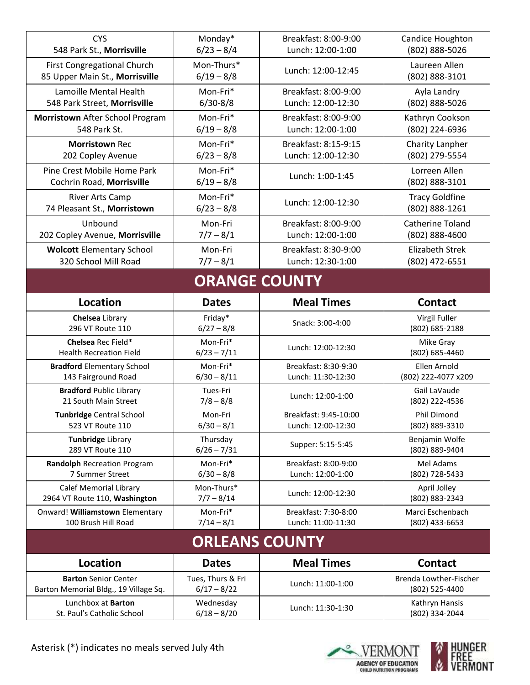| <b>CYS</b>                            | Monday*               | Breakfast: 8:00-9:00  | Candice Houghton       |
|---------------------------------------|-----------------------|-----------------------|------------------------|
| 548 Park St., Morrisville             | $6/23 - 8/4$          | Lunch: 12:00-1:00     | (802) 888-5026         |
| First Congregational Church           | Mon-Thurs*            | Lunch: 12:00-12:45    | Laureen Allen          |
| 85 Upper Main St., Morrisville        | $6/19 - 8/8$          |                       | (802) 888-3101         |
| Lamoille Mental Health                | Mon-Fri*              | Breakfast: 8:00-9:00  | Ayla Landry            |
| 548 Park Street, Morrisville          | $6/30 - 8/8$          | Lunch: 12:00-12:30    | (802) 888-5026         |
| Morristown After School Program       | Mon-Fri*              | Breakfast: 8:00-9:00  | Kathryn Cookson        |
| 548 Park St.                          | $6/19 - 8/8$          | Lunch: 12:00-1:00     | (802) 224-6936         |
| <b>Morristown Rec</b>                 | Mon-Fri*              | Breakfast: 8:15-9:15  | <b>Charity Lanpher</b> |
| 202 Copley Avenue                     | $6/23 - 8/8$          | Lunch: 12:00-12:30    | (802) 279-5554         |
| Pine Crest Mobile Home Park           | Mon-Fri*              | Lunch: 1:00-1:45      | Lorreen Allen          |
| Cochrin Road, Morrisville             | $6/19 - 8/8$          |                       | (802) 888-3101         |
| River Arts Camp                       | Mon-Fri*              | Lunch: 12:00-12:30    | <b>Tracy Goldfine</b>  |
| 74 Pleasant St., Morristown           | $6/23 - 8/8$          |                       | (802) 888-1261         |
| Unbound                               | Mon-Fri               | Breakfast: 8:00-9:00  | Catherine Toland       |
| 202 Copley Avenue, Morrisville        | $7/7 - 8/1$           | Lunch: 12:00-1:00     | (802) 888-4600         |
| <b>Wolcott Elementary School</b>      | Mon-Fri               | Breakfast: 8:30-9:00  | <b>Elizabeth Strek</b> |
| 320 School Mill Road                  | $7/7 - 8/1$           | Lunch: 12:30-1:00     | (802) 472-6551         |
|                                       | <b>ORANGE COUNTY</b>  |                       |                        |
| Location                              | <b>Dates</b>          | <b>Meal Times</b>     | <b>Contact</b>         |
| Chelsea Library                       | Friday*               | Snack: 3:00-4:00      | Virgil Fuller          |
| 296 VT Route 110                      | $6/27 - 8/8$          |                       | (802) 685-2188         |
| Chelsea Rec Field*                    | Mon-Fri*              | Lunch: 12:00-12:30    | Mike Gray              |
| <b>Health Recreation Field</b>        | $6/23 - 7/11$         |                       | (802) 685-4460         |
| <b>Bradford Elementary School</b>     | Mon-Fri*              | Breakfast: 8:30-9:30  | Ellen Arnold           |
| 143 Fairground Road                   | $6/30 - 8/11$         | Lunch: 11:30-12:30    | (802) 222-4077 x209    |
| <b>Bradford Public Library</b>        | Tues-Fri              | Lunch: 12:00-1:00     | Gail LaVaude           |
| 21 South Main Street                  | $7/8 - 8/8$           |                       | (802) 222-4536         |
| <b>Tunbridge Central School</b>       | Mon-Fri               | Breakfast: 9:45-10:00 | Phil Dimond            |
| 523 VT Route 110                      | $6/30 - 8/1$          | Lunch: 12:00-12:30    | (802) 889-3310         |
| <b>Tunbridge Library</b>              | Thursday              | Supper: 5:15-5:45     | Benjamin Wolfe         |
| 289 VT Route 110                      | $6/26 - 7/31$         |                       | (802) 889-9404         |
| Randolph Recreation Program           | Mon-Fri*              | Breakfast: 8:00-9:00  | Mel Adams              |
| 7 Summer Street                       | $6/30 - 8/8$          | Lunch: 12:00-1:00     | (802) 728-5433         |
| <b>Calef Memorial Library</b>         | Mon-Thurs*            | Lunch: 12:00-12:30    | April Jolley           |
| 2964 VT Route 110, Washington         | $7/7 - 8/14$          |                       | (802) 883-2343         |
| Onward! Williamstown Elementary       | Mon-Fri*              | Breakfast: 7:30-8:00  | Marci Eschenbach       |
| 100 Brush Hill Road                   | $7/14 - 8/1$          | Lunch: 11:00-11:30    | (802) 433-6653         |
|                                       | <b>ORLEANS COUNTY</b> |                       |                        |
| Location                              |                       | <b>Meal Times</b>     | <b>Contact</b>         |
|                                       | <b>Dates</b>          |                       |                        |
| <b>Barton Senior Center</b>           | Tues, Thurs & Fri     | Lunch: 11:00-1:00     | Brenda Lowther-Fischer |
| Barton Memorial Bldg., 19 Village Sq. | $6/17 - 8/22$         |                       | (802) 525-4400         |



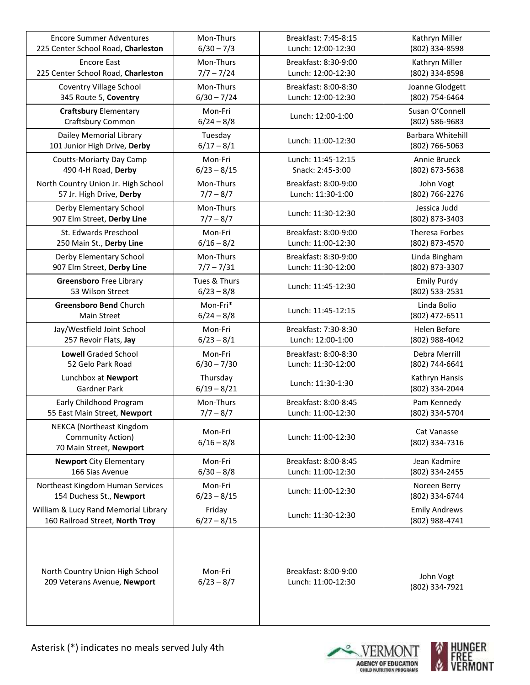| <b>Encore Summer Adventures</b>                                          | Mon-Thurs               | Breakfast: 7:45-8:15 | Kathryn Miller                |
|--------------------------------------------------------------------------|-------------------------|----------------------|-------------------------------|
| 225 Center School Road, Charleston                                       | $6/30 - 7/3$            | Lunch: 12:00-12:30   | (802) 334-8598                |
| <b>Encore East</b>                                                       | Mon-Thurs               | Breakfast: 8:30-9:00 | Kathryn Miller                |
| 225 Center School Road, Charleston                                       | $7/7 - 7/24$            | Lunch: 12:00-12:30   | (802) 334-8598                |
| Coventry Village School                                                  | Mon-Thurs               | Breakfast: 8:00-8:30 | Joanne Glodgett               |
| 345 Route 5, Coventry                                                    | $6/30 - 7/24$           | Lunch: 12:00-12:30   | (802) 754-6464                |
| <b>Craftsbury Elementary</b>                                             | Mon-Fri                 | Lunch: 12:00-1:00    | Susan O'Connell               |
| Craftsbury Common                                                        | $6/24 - 8/8$            |                      | (802) 586-9683                |
| Dailey Memorial Library                                                  | Tuesday                 | Lunch: 11:00-12:30   | Barbara Whitehill             |
| 101 Junior High Drive, Derby                                             | $6/17 - 8/1$            |                      | (802) 766-5063                |
| <b>Coutts-Moriarty Day Camp</b>                                          | Mon-Fri                 | Lunch: 11:45-12:15   | Annie Brueck                  |
| 490 4-H Road, Derby                                                      | $6/23 - 8/15$           | Snack: 2:45-3:00     | (802) 673-5638                |
| North Country Union Jr. High School                                      | Mon-Thurs               | Breakfast: 8:00-9:00 | John Vogt                     |
| 57 Jr. High Drive, Derby                                                 | $7/7 - 8/7$             | Lunch: 11:30-1:00    | (802) 766-2276                |
| Derby Elementary School                                                  | Mon-Thurs               | Lunch: 11:30-12:30   | Jessica Judd                  |
| 907 Elm Street, Derby Line                                               | $7/7 - 8/7$             |                      | (802) 873-3403                |
| St. Edwards Preschool                                                    | Mon-Fri                 | Breakfast: 8:00-9:00 | Theresa Forbes                |
| 250 Main St., Derby Line                                                 | $6/16 - 8/2$            | Lunch: 11:00-12:30   | (802) 873-4570                |
| Derby Elementary School                                                  | Mon-Thurs               | Breakfast: 8:30-9:00 | Linda Bingham                 |
| 907 Elm Street, Derby Line                                               | $7/7 - 7/31$            | Lunch: 11:30-12:00   | (802) 873-3307                |
| <b>Greensboro</b> Free Library                                           | Tues & Thurs            | Lunch: 11:45-12:30   | <b>Emily Purdy</b>            |
| 53 Wilson Street                                                         | $6/23 - 8/8$            |                      | (802) 533-2531                |
| Greensboro Bend Church                                                   | Mon-Fri*                | Lunch: 11:45-12:15   | Linda Bolio                   |
| Main Street                                                              | $6/24 - 8/8$            |                      | (802) 472-6511                |
| Jay/Westfield Joint School                                               | Mon-Fri                 | Breakfast: 7:30-8:30 | Helen Before                  |
| 257 Revoir Flats, Jay                                                    | $6/23 - 8/1$            | Lunch: 12:00-1:00    | (802) 988-4042                |
| <b>Lowell Graded School</b>                                              | Mon-Fri                 | Breakfast: 8:00-8:30 | Debra Merrill                 |
| 52 Gelo Park Road                                                        | $6/30 - 7/30$           | Lunch: 11:30-12:00   | (802) 744-6641                |
| Lunchbox at Newport                                                      | Thursday                | Lunch: 11:30-1:30    | Kathryn Hansis                |
| Gardner Park                                                             | $6/19 - 8/21$           |                      | (802) 334-2044                |
| Early Childhood Program                                                  | Mon-Thurs               | Breakfast: 8:00-8:45 | Pam Kennedy                   |
| 55 East Main Street, Newport                                             | $7/7 - 8/7$             | Lunch: 11:00-12:30   | (802) 334-5704                |
| NEKCA (Northeast Kingdom<br>Community Action)<br>70 Main Street, Newport | Mon-Fri<br>$6/16 - 8/8$ | Lunch: 11:00-12:30   | Cat Vanasse<br>(802) 334-7316 |
| <b>Newport City Elementary</b>                                           | Mon-Fri                 | Breakfast: 8:00-8:45 | Jean Kadmire                  |
| 166 Sias Avenue                                                          | $6/30 - 8/8$            | Lunch: 11:00-12:30   | (802) 334-2455                |
| Northeast Kingdom Human Services                                         | Mon-Fri                 | Lunch: 11:00-12:30   | Noreen Berry                  |
| 154 Duchess St., Newport                                                 | $6/23 - 8/15$           |                      | (802) 334-6744                |
| William & Lucy Rand Memorial Library                                     | Friday                  | Lunch: 11:30-12:30   | <b>Emily Andrews</b>          |
| 160 Railroad Street, North Troy                                          | $6/27 - 8/15$           |                      | (802) 988-4741                |
| North Country Union High School                                          | Mon-Fri                 | Breakfast: 8:00-9:00 | John Vogt                     |
| 209 Veterans Avenue, Newport                                             | $6/23 - 8/7$            | Lunch: 11:00-12:30   | (802) 334-7921                |



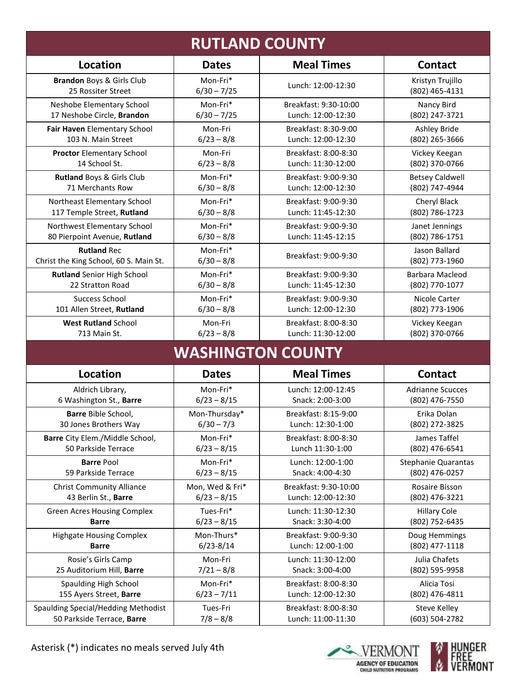|                                        |                 | <b>RUTLAND COUNTY</b>    |                            |
|----------------------------------------|-----------------|--------------------------|----------------------------|
| <b>Location</b>                        | <b>Dates</b>    | <b>Meal Times</b>        | <b>Contact</b>             |
| Brandon Boys & Girls Club              | Mon-Fri*        | Lunch: 12:00-12:30       | Kristyn Trujillo           |
| 25 Rossiter Street                     | $6/30 - 7/25$   |                          | (802) 465-4131             |
| Neshobe Elementary School              | Mon-Fri*        | Breakfast: 9:30-10:00    | Nancy Bird                 |
| 17 Neshobe Circle, Brandon             | $6/30 - 7/25$   | Lunch: 12:00-12:30       | (802) 247-3721             |
| Fair Haven Elementary School           | Mon-Fri         | Breakfast: 8:30-9:00     | <b>Ashley Bride</b>        |
| 103 N. Main Street                     | $6/23 - 8/8$    | Lunch: 12:00-12:30       | (802) 265-3666             |
| <b>Proctor Elementary School</b>       | Mon-Fri         | Breakfast: 8:00-8:30     | Vickey Keegan              |
| 14 School St.                          | $6/23 - 8/8$    | Lunch: 11:30-12:00       | (802) 370-0766             |
| Rutland Boys & Girls Club              | Mon-Fri*        | Breakfast: 9:00-9:30     | <b>Betsey Caldwell</b>     |
| 71 Merchants Row                       | $6/30 - 8/8$    | Lunch: 12:00-12:30       | (802) 747-4944             |
| Northeast Elementary School            | Mon-Fri*        | Breakfast: 9:00-9:30     | Cheryl Black               |
| 117 Temple Street, Rutland             | $6/30 - 8/8$    | Lunch: 11:45-12:30       | (802) 786-1723             |
| Northwest Elementary School            | Mon-Fri*        | Breakfast: 9:00-9:30     | Janet Jennings             |
| 80 Pierpoint Avenue, Rutland           | $6/30 - 8/8$    | Lunch: 11:45-12:15       | (802) 786-1751             |
| <b>Rutland Rec</b>                     | Mon-Fri*        | Breakfast: 9:00-9:30     | Jason Ballard              |
| Christ the King School, 60 S. Main St. | $6/30 - 8/8$    |                          | (802) 773-1960             |
| Rutland Senior High School             | Mon-Fri*        | Breakfast: 9:00-9:30     | Barbara Macleod            |
| 22 Stratton Road                       | $6/30 - 8/8$    | Lunch: 11:45-12:30       | (802) 770-1077             |
| <b>Success School</b>                  | Mon-Fri*        | Breakfast: 9:00-9:30     | Nicole Carter              |
| 101 Allen Street, Rutland              | $6/30 - 8/8$    | Lunch: 12:00-12:30       | (802) 773-1906             |
| <b>West Rutland School</b>             | Mon-Fri         | Breakfast: 8:00-8:30     | Vickey Keegan              |
| 713 Main St.                           | $6/23 - 8/8$    | Lunch: 11:30-12:00       | (802) 370-0766             |
|                                        |                 | <b>WASHINGTON COUNTY</b> |                            |
| <b>Location</b>                        | <b>Dates</b>    | <b>Meal Times</b>        | <b>Contact</b>             |
| Aldrich Library,                       | Mon-Fri*        | Lunch: 12:00-12:45       | <b>Adrianne Scucces</b>    |
| 6 Washington St., Barre                | $6/23 - 8/15$   | Snack: 2:00-3:00         | (802) 476-7550             |
| Barre Bible School,                    | Mon-Thursday*   | Breakfast: 8:15-9:00     | Erika Dolan                |
| 30 Jones Brothers Way                  | $6/30 - 7/3$    | Lunch: 12:30-1:00        | (802) 272-3825             |
| Barre City Elem./Middle School,        | Mon-Fri*        | Breakfast: 8:00-8:30     | James Taffel               |
| 50 Parkside Terrace                    | $6/23 - 8/15$   | Lunch 11:30-1:00         | (802) 476-6541             |
| <b>Barre Pool</b>                      | Mon-Fri*        | Lunch: 12:00-1:00        | <b>Stephanie Quarantas</b> |
| 59 Parkside Terrace                    | $6/23 - 8/15$   | Snack: 4:00-4:30         | (802) 476-0257             |
| <b>Christ Community Alliance</b>       | Mon, Wed & Fri* | Breakfast: 9:30-10:00    | Rosaire Bisson             |
| 43 Berlin St., Barre                   | $6/23 - 8/15$   | Lunch: 12:00-12:30       | (802) 476-3221             |
| <b>Green Acres Housing Complex</b>     | Tues-Fri*       | Lunch: 11:30-12:30       | <b>Hillary Cole</b>        |
| <b>Barre</b>                           | $6/23 - 8/15$   | Snack: 3:30-4:00         | (802) 752-6435             |
| <b>Highgate Housing Complex</b>        | Mon-Thurs*      | Breakfast: 9:00-9:30     | Doug Hemmings              |
| <b>Barre</b>                           | $6/23 - 8/14$   | Lunch: 12:00-1:00        | (802) 477-1118             |
| Rosie's Girls Camp                     | Mon-Fri         | Lunch: 11:30-12:00       | Julia Chafets              |
| 25 Auditorium Hill, Barre              | $7/21 - 8/8$    | Snack: 3:00-4:00         | (802) 595-9958             |
| Spaulding High School                  | Mon-Fri*        | Breakfast: 8:00-8:30     | Alicia Tosi                |
| 155 Ayers Street, Barre                | $6/23 - 7/11$   | Lunch: 12:00-12:30       | (802) 476-4811             |
| Spaulding Special/Hedding Methodist    | Tues-Fri        | Breakfast: 8:00-8:30     | <b>Steve Kelley</b>        |
| 50 Parkside Terrace, Barre             | $7/8 - 8/8$     | Lunch: 11:00-11:30       | (603) 504-2782             |



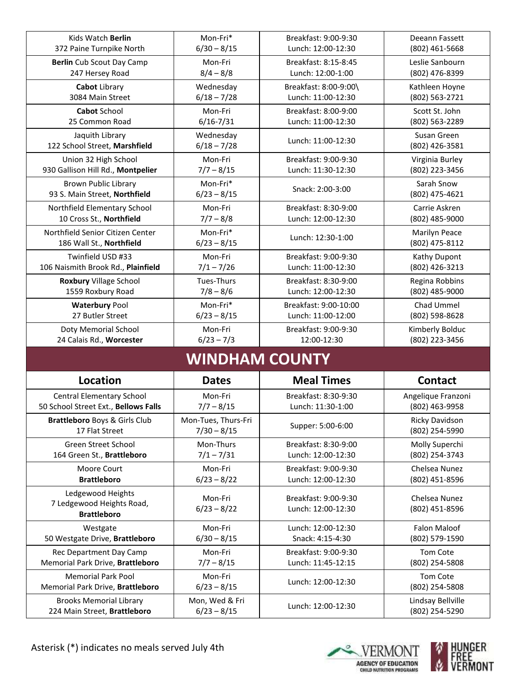| Kids Watch Berlin                                                  | Mon-Fri*                             | Breakfast: 9:00-9:30                       | Deeann Fassett                       |
|--------------------------------------------------------------------|--------------------------------------|--------------------------------------------|--------------------------------------|
| 372 Paine Turnpike North                                           | $6/30 - 8/15$                        | Lunch: 12:00-12:30                         | (802) 461-5668                       |
| <b>Berlin</b> Cub Scout Day Camp                                   | Mon-Fri                              | Breakfast: 8:15-8:45                       | Leslie Sanbourn                      |
| 247 Hersey Road                                                    | $8/4 - 8/8$                          | Lunch: 12:00-1:00                          | (802) 476-8399                       |
| Cabot Library                                                      | Wednesday                            | Breakfast: 8:00-9:00\                      | Kathleen Hoyne                       |
| 3084 Main Street                                                   | $6/18 - 7/28$                        | Lunch: 11:00-12:30                         | (802) 563-2721                       |
| <b>Cabot School</b>                                                | Mon-Fri                              | Breakfast: 8:00-9:00                       | Scott St. John                       |
| 25 Common Road                                                     | $6/16 - 7/31$                        | Lunch: 11:00-12:30                         | (802) 563-2289                       |
| Jaquith Library<br>122 School Street, Marshfield                   | Wednesday<br>$6/18 - 7/28$           | Lunch: 11:00-12:30                         | Susan Green<br>(802) 426-3581        |
| Union 32 High School                                               | Mon-Fri                              | Breakfast: 9:00-9:30                       | Virginia Burley                      |
| 930 Gallison Hill Rd., Montpelier                                  | $7/7 - 8/15$                         | Lunch: 11:30-12:30                         | (802) 223-3456                       |
| <b>Brown Public Library</b><br>93 S. Main Street, Northfield       | Mon-Fri*<br>$6/23 - 8/15$            | Snack: 2:00-3:00                           | Sarah Snow<br>(802) 475-4621         |
| Northfield Elementary School                                       | Mon-Fri                              | Breakfast: 8:30-9:00                       | Carrie Askren                        |
| 10 Cross St., Northfield                                           | $7/7 - 8/8$                          | Lunch: 12:00-12:30                         | (802) 485-9000                       |
| Northfield Senior Citizen Center<br>186 Wall St., Northfield       | Mon-Fri*<br>$6/23 - 8/15$            | Lunch: 12:30-1:00                          | Marilyn Peace<br>(802) 475-8112      |
| Twinfield USD #33                                                  | Mon-Fri                              | Breakfast: 9:00-9:30                       | Kathy Dupont                         |
| 106 Naismith Brook Rd., Plainfield                                 | $7/1 - 7/26$                         | Lunch: 11:00-12:30                         | (802) 426-3213                       |
| Roxbury Village School                                             | Tues-Thurs                           | Breakfast: 8:30-9:00                       | Regina Robbins                       |
| 1559 Roxbury Road                                                  | $7/8 - 8/6$                          | Lunch: 12:00-12:30                         | (802) 485-9000                       |
| <b>Waterbury Pool</b>                                              | Mon-Fri*                             | Breakfast: 9:00-10:00                      | Chad Ummel                           |
| 27 Butler Street                                                   | $6/23 - 8/15$                        | Lunch: 11:00-12:00                         | (802) 598-8628                       |
|                                                                    |                                      |                                            |                                      |
| Doty Memorial School                                               | Mon-Fri                              | Breakfast: 9:00-9:30                       | Kimberly Bolduc                      |
| 24 Calais Rd., Worcester                                           | $6/23 - 7/3$                         | 12:00-12:30                                | (802) 223-3456                       |
|                                                                    | <b>WINDHAM COUNTY</b>                |                                            |                                      |
| <b>Location</b>                                                    | <b>Dates</b>                         | <b>Meal Times</b>                          | <b>Contact</b>                       |
| <b>Central Elementary School</b>                                   | Mon-Fri                              | Breakfast: 8:30-9:30                       |                                      |
| 50 School Street Ext., Bellows Falls                               | $7/7 - 8/15$                         | Lunch: 11:30-1:00                          | Angelique Franzoni<br>(802) 463-9958 |
| Brattleboro Boys & Girls Club<br>17 Flat Street                    | Mon-Tues, Thurs-Fri<br>$7/30 - 8/15$ | Supper: 5:00-6:00                          | Ricky Davidson<br>(802) 254-5990     |
| Green Street School                                                | Mon-Thurs                            | Breakfast: 8:30-9:00                       | Molly Superchi                       |
| 164 Green St., Brattleboro                                         | $7/1 - 7/31$                         | Lunch: 12:00-12:30                         | (802) 254-3743                       |
| Moore Court                                                        | Mon-Fri                              | Breakfast: 9:00-9:30                       | Chelsea Nunez                        |
| <b>Brattleboro</b>                                                 | $6/23 - 8/22$                        | Lunch: 12:00-12:30                         | (802) 451-8596                       |
| Ledgewood Heights                                                  |                                      |                                            |                                      |
| 7 Ledgewood Heights Road,                                          | Mon-Fri<br>$6/23 - 8/22$             | Breakfast: 9:00-9:30<br>Lunch: 12:00-12:30 | Chelsea Nunez<br>(802) 451-8596      |
| <b>Brattleboro</b>                                                 |                                      |                                            |                                      |
| Westgate                                                           | Mon-Fri                              | Lunch: 12:00-12:30                         | <b>Falon Maloof</b>                  |
| 50 Westgate Drive, Brattleboro                                     | $6/30 - 8/15$                        | Snack: 4:15-4:30                           | (802) 579-1590                       |
| Rec Department Day Camp                                            | Mon-Fri                              | Breakfast: 9:00-9:30                       | Tom Cote                             |
| Memorial Park Drive, Brattleboro                                   | $7/7 - 8/15$                         | Lunch: 11:45-12:15                         | (802) 254-5808                       |
| <b>Memorial Park Pool</b>                                          | Mon-Fri                              | Lunch: 12:00-12:30                         | Tom Cote                             |
| Memorial Park Drive, Brattleboro<br><b>Brooks Memorial Library</b> | $6/23 - 8/15$<br>Mon, Wed & Fri      |                                            | (802) 254-5808<br>Lindsay Bellville  |